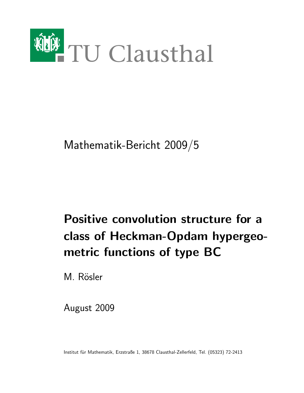

Mathematik-Bericht 2009/5

# Positive convolution structure for a class of Heckman-Opdam hypergeometric functions of type BC

M. Rösler

August 2009

Institut für Mathematik, Erzstraße 1, 38678 Clausthal-Zellerfeld, Tel. (05323) 72-2413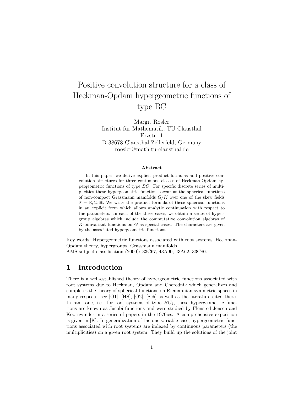## Positive convolution structure for a class of Heckman-Opdam hypergeometric functions of type BC

Margit Rösler Institut für Mathematik, TU Clausthal Erzstr. 1 D-38678 Clausthal-Zellerfeld, Germany roesler@math.tu-clausthal.de

#### Abstract

In this paper, we derive explicit product formulas and positive convolution structures for three continuous classes of Heckman-Opdam hypergeometric functions of type BC. For specific discrete series of multiplicities these hypergeometric functions occur as the spherical functions of non-compact Grassmann manifolds  $G/K$  over one of the skew fields  $\mathbb{F} = \mathbb{R}, \mathbb{C}, \mathbb{H}$ . We write the product formula of these spherical functions in an explicit form which allows analytic continuation with respect to the parameters. In each of the three cases, we obtain a series of hypergroup algebras which include the commutative convolution algebras of  $K$ -biinvariant functions on  $G$  as special cases. The characters are given by the associated hypergeometric functions.

Key words: Hypergeometric functions associated with root systems, Heckman-Opdam theory, hypergroups, Grassmann manifolds. AMS subject classification (2000): 33C67, 43A90, 43A62, 33C80.

#### 1 Introduction

There is a well-established theory of hypergeometric functions associated with root systems due to Heckman, Opdam and Cherednik which generalizes and completes the theory of spherical functions on Riemannian symmetric spaces in many respects; see [O1], [HS], [O2], [Sch] as well as the literature cited there. In rank one, i.e. for root systems of type  $BC<sub>1</sub>$ , these hypergeometric functions are known as Jacobi functions and were studied by Flensted-Jensen and Koornwinder in a series of papers in the 1970ies. A comprehensive exposition is given in  $[K]$ . In generalization of the one-variable case, hypergeometric functions associated with root systems are indexed by continuous parameters (the multiplicities) on a given root system. They build up the solutions of the joint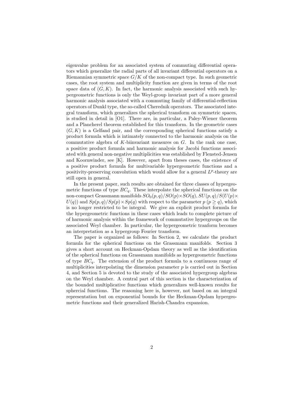eigenvalue problem for an associated system of commuting differential operators which generalize the radial parts of all invariant differential operators on a Riemannian symmetric space  $G/K$  of the non-compact type. In such geometric cases, the root system and multiplicity function are given in terms of the root space data of  $(G, K)$ . In fact, the harmonic analysis associated with such hypergeometric functions is only the Weyl-group invariant part of a more general harmonic analysis associated with a commuting family of differential-reflection operators of Dunkl type, the so-called Cherednik operators. The associated integral transform, which generalizes the spherical transform on symmetric spaces, is studied in detail in [O1]. There are, in particular, a Paley-Wiener theorem and a Plancherel theorem established for this transform. In the geometric cases  $(G, K)$  is a Gelfand pair, and the corresponding spherical functions satisfy a product formula which is intimately connected to the harmonic analysis on the commutative algebra of  $K$ -biinvariant measures on  $G$ . In the rank one case, a positive product formula and harmonic analysis for Jacobi functions associated with general non-negative multiplicities was established by Flensted-Jensen and Koornwinder, see [K]. However, apart from theses cases, the existence of a positive product formula for multivariable hypergeometric functions and a positivity-preserving convolution which would allow for a general  $L^p$ -theory are still open in general.

In the present paper, such results are obtained for three classes of hypergeometric functions of type  $BC_q$ . These interpolate the spherical functions on the non-compact Grassmann manifolds  $SO_0(p,q)/SO(p)\times SO(q), SU(p,q)/S(U(p)\times$  $U(q)$  and  $Sp(p, q)/Sp(p) \times Sp(q)$  with respect to the parameter  $p (p \geq q)$ , which is no longer restricted to be integral. We give an explicit product formula for the hypergeometric functions in these cases which leads to complete picture of of harmonic analysis within the framework of commutative hypergroups on the associated Weyl chamber. In particular, the hypergeometric tranform becomes an interpretation as a hypergroup Fourier transform.

The paper is organized as follows: In Section 2, we calculate the product formula for the spherical functions on the Grassmann manifolds. Section 3 gives a short account on Heckman-Opdam theory as well as the identification of the spherical functions on Grassmann manifolds as hypergeometric functions of type  $BC_q$ . The extension of the product formula to a continuous range of multiplicities interpolating the dimension parameter  $p$  is carried out in Section 4, and Section 5 is devoted to the study of the associated hypergroup algebras on the Weyl chamber. A central part of this section is the characterization of the bounded multiplicative functions which generalizes well-known results for sphercial functions. The reasoning here is, however, not based on an integral representation but on exponential bounds for the Heckman-Opdam hypergeometric functions and their generalized Harish-Chandra expansion.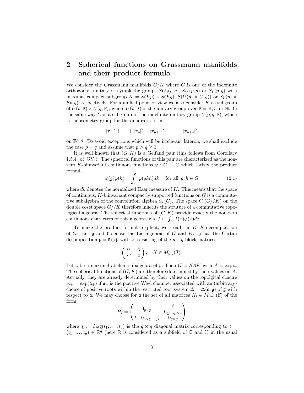#### 2 Spherical functions on Grassmann manifolds and their product formula

We consider the Grassmann manifolds  $G/K$  where G is one of the indefinite orthogonal, unitary or symplectic groups  $SO_0(p,q)$ ,  $SU(p,q)$  or  $Sp(p,q)$  with maximal compact subgroup  $K = SO(p) \times SO(q)$ ,  $S(U(p) \times U(q))$  or  $Sp(p) \times$  $Sp(q)$ , respectively. For a unified point of view we also consider K as subgroup of  $U(p;\mathbb{F})\times U(q,\mathbb{F})$ , where  $U(p;\mathbb{F})$  is the unitary group over  $\mathbb{F}=\mathbb{R},\mathbb{C}$  or  $\mathbb{H}$ . In the same way G is a subgroup of the indefinite unitary group  $U(p, q; \mathbb{F})$ , which is the isometry group for the quadratic form

$$
|x_1|^2 + \ldots + |x_p|^2 - |x_{p+1}|^2 - \ldots - |x_{p+q}|^2
$$

on  $\mathbb{F}^{p+q}$ . To avoid exceptions which will be irrelevant lateron, we shall exclude the case  $p = q$  and assume that  $p > q \ge 1$ .

It is well known that  $(G, K)$  is a Gelfand pair (this follows from Corollary 1.5.4. of [GV]). The spherical functions of this pair are characterized as the nonzero K-biinvariant continuous functions  $\varphi : G \to \mathbb{C}$  which satisfy the product formula

$$
\varphi(g)\varphi(h) = \int_K \varphi(gkh)dk \quad \text{ for all } g, h \in G \tag{2.1}
$$

where  $dk$  denotes the normalized Haar measure of  $K$ . This means that the space of continuous,  $K$ -biinvariant compactly supported functions on  $G$  is a commutative subalgebra of the convolution algebra  $C_c(G)$ . The space  $C_c(G)/K$  on the double coset space  $G//K$  therefore inherits the struture of a commutative topological algebra. The spherical functions of  $(G, K)$  provide exactly the non-zero continuous characters of this algebra, via  $f \mapsto \int_G f(x)\varphi(x)dx$ .

To make the product formula explicit, we recall the KAK-decomposition of G. Let  $\mathfrak g$  and  $\mathfrak k$  denote the Lie algebras of G and K.  $\mathfrak g$  has the Cartan decomposition  $\mathfrak{g} = \mathfrak{k} \oplus \mathfrak{p}$  with  $\mathfrak{p}$  consisting of the  $p + q$ -block matrices

$$
\begin{pmatrix} 0 & X \ X^* & 0 \end{pmatrix}, \quad X \in M_{p,q}(\mathbb{F}).
$$

Let  $\mathfrak a$  be a maximal abelian subalgebra of  $\mathfrak p$ . Then  $G = KAK$  with  $A = \exp \mathfrak a$ . The spherical functions of  $(G, K)$  are therefore determined by their values on A. Actually, they are already determined by their values on the topolgical closure  $A_+ = \exp(\overline{\mathfrak{a}_+})$  if  $\mathfrak{a}_+$  is the positive Weyl chamber associated with an (arbitrary) choice of positive roots within the restricted root system  $\Delta = \Delta(\mathfrak{a}, \mathfrak{g})$  of  $\mathfrak{g}$  with respect to a. We may choose for a the set of all matrices  $H_t \in M_{p+q}(\mathbb{F})$  of the form

$$
H_t = \begin{pmatrix} 0_{p \times p} & \underline{t} \\ \underline{t} & 0_{q \times (p-q)} & 0_{q \times q} \\ 0 & 0_{q \times q} & 0 \end{pmatrix}
$$

where  $\underline{t} := \text{diag}(t_1, \ldots, t_q)$  is the  $q \times q$  diagonal matrix corresponding to  $t =$  $(t_1,\ldots,t_q)\in\mathbb{R}^q$  (here  $\mathbb R$  is considered as a subfield of  $\mathbb C$  and  $\mathbb H$  in the usual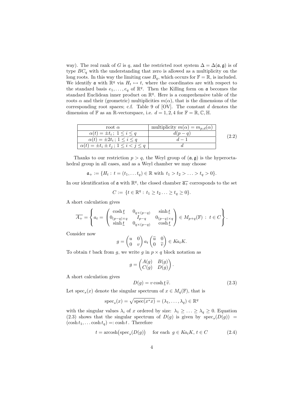way). The real rank of G is q, and the restricted root system  $\Delta = \Delta(\mathfrak{a}, \mathfrak{g})$  is of type  $BC_q$  with the understanding that zero is allowed as a multiplicity on the long roots. In this way the limiting case  $B_q$ , which occurs for  $\mathbb{F} = \mathbb{R}$ , is included. We identify **a** with  $\mathbb{R}^q$  via  $H_t \mapsto t$ , where the coordinates are with respect to the standard basis  $e_1, \ldots, e_q$  of  $\mathbb{R}^q$ . Then the Killing form on **a** becomes the standard Euclidean inner product on  $\mathbb{R}^q$ . Here is a comprehensive table of the roots  $\alpha$  and their (geometric) multiplicities  $m(\alpha)$ , that is the dimensions of the corresponding root spaces; c.f. Table 9 of  $[OV]$ . The constant d denotes the dimension of  $\mathbb F$  as an R-vector space, i.e.  $d = 1, 2, 4$  for  $\mathbb F = \mathbb R, \mathbb C, \mathbb H$ .

| root $\alpha$                                        | multiplicity $m(\alpha) = m_{p,d}(\alpha)$ |  |
|------------------------------------------------------|--------------------------------------------|--|
| $\alpha(t) = \pm t_i$ ; $1 \leq i \leq q$            |                                            |  |
| $\alpha(t) = \pm 2t_i \, ; \, 1 \leq i \leq q$       |                                            |  |
| $\alpha(t) = \pm t_i \pm t_j; \ 1 \leq i < j \leq q$ |                                            |  |

Thanks to our restriction  $p > q$ , the Weyl group of  $(a, g)$  is the hyperoctahedral group in all cases, and as a Weyl chamber we may choose

$$
\mathfrak{a}_+ := \{ H_t : t = (t_1, \dots t_q) \in \mathbb{R} \text{ with } t_1 > t_2 > \dots > t_q > 0 \}.
$$

In our identification of  $\mathfrak a$  with  $\mathbb R^q$ , the closed chamber  $\overline{\mathfrak a_+}$  corresponds to the set

$$
C := \{ t \in \mathbb{R}^q : t_1 \ge t_2 \ldots \ge t_q \ge 0 \}.
$$

A short calculation gives

$$
\overline{A_+} = \left\{ a_t = \begin{pmatrix} \cosh \underline{t} & 0_{q \times (p-q)} & \sinh \underline{t} \\ 0_{(p-q) \times q} & I_{p-q} & 0_{(p-q) \times q} \\ \sinh \underline{t} & 0_{q \times (p-q)} & \cosh \underline{t} \end{pmatrix} \in M_{p+q}(\mathbb{F}) : t \in C \right\}.
$$

Consider now

$$
g = \begin{pmatrix} u & 0 \\ 0 & v \end{pmatrix} a_t \begin{pmatrix} \widetilde{u} & 0 \\ 0 & \widetilde{v} \end{pmatrix} \in Ka_tK.
$$

To obtain t back from g, we write g in  $p \times q$  block notation as

$$
g = \begin{pmatrix} A(g) & B(g) \\ C(g) & D(g) \end{pmatrix}.
$$

A short calculation gives

$$
D(g) = v \cosh \underline{t} \,\widetilde{v}.\tag{2.3}
$$

Let  $\operatorname{spec}_s(x)$  denote the singular spectrum of  $x \in M_q(\mathbb{F})$ , that is

$$
\operatorname{spec}_s(x) = \sqrt{\operatorname{spec}(x^*x)} = (\lambda_1, \dots, \lambda_q) \in \mathbb{R}^q
$$

with the singular values  $\lambda_i$  of x ordered by size:  $\lambda_1 \geq \ldots \geq \lambda_q \geq 0$ . Equation (2.3) shows that the singular spectrum of  $D(g)$  is given by  $spec_s(D(g))$  =  $(\cosh t_1, \ldots \cosh t_q) =: \cosh t$ . Therefore

$$
t = \operatorname{arcosh}\left(\operatorname{spec}_s(D(g))\right) \quad \text{for each } g \in Ka_tK, \, t \in C \tag{2.4}
$$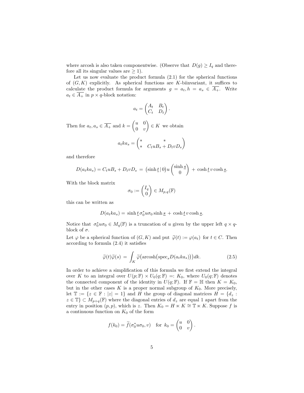where arcosh is also taken componentwise. (Observe that  $D(g) \geq I_q$  and therefore all its singular values are  $\geq 1$ .

Let us now evaluate the product formula  $(2.1)$  for the spherical functions of  $(G, K)$  explicitly. As spherical functions are K-biinvariant, it suffices to calculate the product formula for arguments  $g = a_t, h = a_s \in \overline{A_+}.$  Write  $a_t \in \overline{A_+}$  in  $p \times q$ -block notation:

$$
a_t = \begin{pmatrix} A_t & B_t \\ C_t & D_t \end{pmatrix}.
$$

Then for  $a_t, a_s \in \overline{A_+}$  and  $k = \begin{pmatrix} u & 0 \\ 0 & v \end{pmatrix}$  $0 \quad v$  $\Big) \in K$  we obtain

$$
a_t k a_s = \begin{pmatrix} * & * \\ * & C_t u B_s + D_t v D_s \end{pmatrix}
$$

and therefore

$$
D(a_t ka_s) = C_t u B_s + D_t v D_s = (\sinh t \,|\, 0) u \begin{pmatrix} \sinh s \\ 0 \end{pmatrix} + \cosh t v \cosh s.
$$

With the block matrix

$$
\sigma_0 := \begin{pmatrix} I_q \\ 0 \end{pmatrix} \in M_{p,q}(\mathbb{F})
$$

this can be written as

$$
D(a_t ka_s) = \sinh \underline{t} \sigma_0^* u \sigma_0 \sinh \underline{s} + \cosh \underline{t} v \cosh \underline{s}.
$$

Notice that  $\sigma_0^* u \sigma_0 \in M_q(\mathbb{F})$  is a truncation of u given by the upper left  $q \times q$ block of  $\sigma$ .

Let  $\varphi$  be a spherical function of  $(G, K)$  and put  $\widetilde{\varphi}(t) := \varphi(a_t)$  for  $t \in C$ . Then according to formula (2.4) it satisfies

$$
\widetilde{\varphi}(t)\widetilde{\varphi}(s) = \int_K \widetilde{\varphi}\big(\text{arcosh}\big(\text{spec}_s D(a_t k a_s)\big)\big)dk. \tag{2.5}
$$

In order to achieve a simplification of this formula we first extend the integral over K to an integral over  $U(p;\mathbb{F}) \times U_0(q;\mathbb{F}) =: K_0$ , where  $U_0(q;\mathbb{F})$  denotes the connected component of the identity in  $U(q; \mathbb{F})$ . If  $\mathbb{F} = \mathbb{H}$  then  $K = K_0$ , but in the other cases  $K$  is a proper normal subgroup of  $K_0$ . More precisely, let  $\mathbb{T} := \{z \in \mathbb{F} : |z| = 1\}$  and H the group of diagonal matrices  $H = \{d_z :$  $z \in \mathbb{T} \subset M_{p+q}(\mathbb{F})$  where the diagonal entries of  $d_z$  are equal 1 apart from the entry in position  $(p, p)$ , which is z. Then  $K_0 = H \ltimes K \cong \mathbb{T} \ltimes K$ . Suppose f is a continuous function on  $K_0$  of the form

$$
f(k_0) = \widetilde{f}(\sigma_0^* u \sigma_0, v) \quad \text{for } k_0 = \begin{pmatrix} u & 0 \\ 0 & v \end{pmatrix}.
$$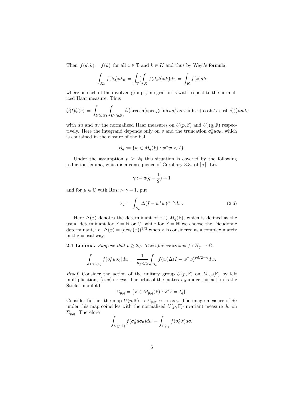Then  $f(d_zk) = f(k)$  for all  $z \in \mathbb{T}$  and  $k \in K$  and thus by Weyl's formula,

$$
\int_{K_0} f(k_0) dk_0 = \int_{\mathbb{T}} \left( \int_K f(d_z k) dk \right) dz = \int_K f(k) dk
$$

where on each of the involved groups, integration is with respect to the normalized Haar measure. Thus

$$
\widetilde{\varphi}(t)\widetilde{\varphi}(s) = \int_{U(p,\mathbb{F})} \int_{U_0(q,\mathbb{F})} \widetilde{\varphi}(\text{arcosh}(\text{spec}_s(\sinh \underline{t}\,\sigma_0^* u \sigma_0 \sinh \underline{s} + \cosh \underline{t} \, v \cosh \underline{s})))dudv
$$

with du and dv the normalized Haar measures on  $U(p, F)$  and  $U_0(q, F)$  respectively. Here the integrand depends only on v and the truncation  $\sigma_0^* u \sigma_0$ , which is contained in the closure of the ball

$$
B_q := \{ w \in M_q(\mathbb{F}) : w^*w < I \}.
$$

Under the assumption  $p \geq 2q$  this situation is covered by the following reduction lemma, which is a consequence of Corollary 3.3. of [R]. Let

$$
\gamma:=d(q-\frac{1}{2})+1
$$

and for  $\mu \in \mathbb{C}$  with  $\text{Re}\,\mu > \gamma - 1$ , put

$$
\kappa_{\mu} = \int_{B_q} \Delta (I - w^* w)^{\mu - \gamma} dw.
$$
\n(2.6)

Here  $\Delta(x)$  denotes the determinant of  $x \in M_q(\mathbb{F})$ , which is defined as the usual determinant for  $\mathbb{F} = \mathbb{R}$  or  $\mathbb{C}$ , while for  $\mathbb{F} = \mathbb{H}$  we choose the Dieudonné determinant, i.e.  $\Delta(x) = (\det_{\mathbb{C}}(x))^{1/2}$  when x is considered as a complex matrix in the ususal way.

**2.1 Lemma.** Suppose that  $p \geq 2q$ . Then for continuos  $f : \overline{B}_q \to \mathbb{C}$ ,

$$
\int_{U(p,\mathbb{F})} f(\sigma_0^* u \sigma_0) du = \frac{1}{\kappa_{pd/2}} \int_{B_q} f(w) \Delta (I - w^* w)^{pd/2 - \gamma} dw.
$$

*Proof.* Consider the action of the unitary group  $U(p, F)$  on  $M_{p,q}(F)$  by left multiplication,  $(u, x) \mapsto ux$ . The orbit of the matrix  $\sigma_0$  under this action is the Stiefel manifold

$$
\Sigma_{p,q} = \{ x \in M_{p,q}(\mathbb{F}) : x^*x = I_q \}.
$$

Consider further the map  $U(p, F) \to \Sigma_{p,q}$ ,  $u \mapsto u\sigma_0$ . The image measure of du under this map coincides with the normalized  $U(p, F)$ -invariant measure  $d\sigma$  on  $\Sigma_{p,q}$ . Therefore

$$
\int_{U(p,\mathbb{F})} f(\sigma_0^* u \sigma_0) du = \int_{\Sigma_{p,q}} f(\sigma_0^* \sigma) d\sigma.
$$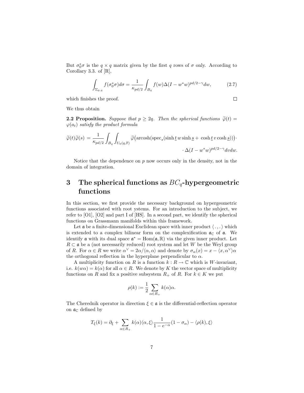But  $\sigma_0^* \sigma$  is the  $q \times q$  matrix given by the first q rows of  $\sigma$  only. According to Corollary 3.3. of [R],

$$
\int_{\Sigma_{p,q}} f(\sigma_0^* \sigma) d\sigma = \frac{1}{\kappa_{pd/2}} \int_{B_q} f(w) \Delta (I - w^* w)^{pd/2 - \gamma} dw, \tag{2.7}
$$

which finishes the proof.

$$
\sqcup
$$

We thus obtain

**2.2 Proposition.** Suppose that  $p \geq 2q$ . Then the spherical functions  $\widetilde{\varphi}(t) =$  $\varphi(a_t)$  satisfy the product formula

$$
\widetilde{\varphi}(t)\widetilde{\varphi}(s) = \frac{1}{\kappa_{pd/2}} \int_{B_q} \int_{U_0(q,\mathbb{F})} \widetilde{\varphi}\big(\text{arcosh}(\text{spec}_s(\sinh \underline{t} w \sinh \underline{s} + \cosh \underline{t} v \cosh \underline{s}))\big) \cdot \Delta(I - w^*w)^{pd/2 - \gamma} dvdw.
$$

Notice that the dependence on  $p$  now occurs only in the density, not in the domain of integration.

### 3 The spherical functions as  $BC_q$ -hypergeometric functions

In this section, we first provide the necessary background on hypergeometric functions associated with root ystems. For an introduction to the subject, we refer to [O1], [O2] and part I of [HS]. In a second part, we identify the spherical functions on Grassmann manifolds within this framework.

Let  $\alpha$  be a finite-dimensional Euclidean space with inner product  $\langle ., . \rangle$  which is extended to a complex bilinear form on the complexification  $a_{\mathbb{C}}$  of  $a$ . We identify **a** with its dual space  $\mathfrak{a}^* = \text{Hom}(\mathfrak{a}, \mathbb{R})$  via the given inner product. Let  $R \subset \mathfrak{a}$  be a (not necessarily reduced) root system and let W be the Weyl group of R. For  $\alpha \in R$  we write  $\alpha^{\vee} = 2\alpha/\langle \alpha, \alpha \rangle$  and denote by  $\sigma_{\alpha}(x) = x - \langle x, \alpha^{\vee} \rangle \alpha$ the orthogonal reflection in the hyperplane perpendicular to  $\alpha$ .

A multiplicity function on R is a function  $k : R \to \mathbb{C}$  which is W-invariant, i.e.  $k(w\alpha) = k(\alpha)$  for all  $\alpha \in R$ . We denote by K the vector space of multiplicity functions on R and fix a positive subsystem  $R_+$  of R. For  $k \in K$  we put

$$
\rho(k) := \frac{1}{2} \sum_{\alpha \in R_+} k(\alpha) \alpha.
$$

The Cherednik operator in direction  $\xi \in \mathfrak{a}$  is the differential-reflection operator on  $\mathfrak{a}_{\mathbb{C}}$  defined by

$$
T_{\xi}(k) = \partial_{\xi} + \sum_{\alpha \in R_{+}} k(\alpha) \langle \alpha, \xi \rangle \frac{1}{1 - e^{-\alpha}} (1 - \sigma_{\alpha}) - \langle \rho(k), \xi \rangle
$$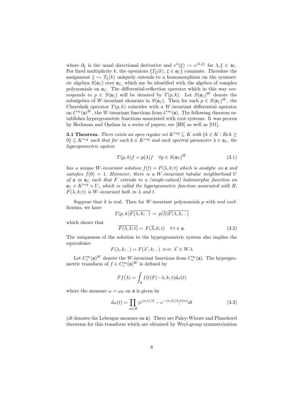where  $\partial_{\xi}$  is the usual directional derivative and  $e^{\lambda}(\xi) := e^{\langle \lambda, \xi \rangle}$  for  $\lambda, \xi \in \mathfrak{a}_{\mathbb{C}}$ . For fixed multiplicity k, the operators  $\{T_{\xi}(k), \xi \in \mathfrak{a}_{\mathbb{C}}\}$  commute. Therefore the assignment  $\xi \mapsto T_{\xi}(k)$  uniquely extends to a homomorphism on the symmetric algebra  $S(\mathfrak{a}_{\mathbb{C}})$  over  $\mathfrak{a}_{\mathbb{C}}$ , which my be identified with the algebra of complex polynomials on  $\mathfrak{a}_{\mathbb{C}}$ . The differential-reflection operator which in this way corresponds to  $p \in S(\mathfrak{a}_{\mathbb{C}})$  will be denoted by  $T(p, k)$ . Let  $S(\mathfrak{a}_{\mathbb{C}})^W$  denote the subalgebra of W-invariant elements in  $S(\mathfrak{a}_{\mathbb{C}})$ . Then for each  $p \in S(\mathfrak{a}_{\mathbb{C}})^W$ , the Cherednik operator  $T(p, k)$  coincides with a W-invariant differential operator on  $C^{\infty}(\mathfrak{a})^W$ , the W-invariant functions from  $C^{\infty}(\mathfrak{a})$ . The following theorem establishes hypergeometric functions associated with root systems. It was proven by Heckman and Opdam in a series of papers, see [HS] as well as [O1].

**3.1 Theorem.** There exists an open regular set  $K^{reg} \subseteq K$  with  $\{k \in K : Re k \geq \emptyset\}$  $0\} \subseteq K^{reg}$  such that for each  $k \in K^{reg}$  and each spectral parameter  $\lambda \in \mathfrak{a}_{\mathbb{C}}$ , the hypergeometric system

$$
T(p,k)f = p(\lambda)f \quad \forall p \in S(\mathfrak{a}_{\mathbb{C}})^W \tag{3.1}
$$

has a unique W-invariant solution  $f(t) = F(\lambda, k; t)$  which is analytic on a and satisfies  $f(0) = 1$ . Moreover, there is a W-invariant tubular neighborhood U of  $\mathfrak a$  in  $\mathfrak a_{\mathbb C}$  such that F extends to a (single-valued) holomorphic function on  $a_C \times K^{reg} \times U$ , which is called the hypergeometric function associated with R.  $F(\lambda, k; t)$  is W-invariant both in  $\lambda$  and t.

Suppose that k is real. Then for W-invariant polynomials p with real coefficients, we have

$$
T(p,k)F(\lambda,k;.) = p(\overline{\lambda})F(\lambda,k;.)
$$

which shows that

$$
F(\lambda, k; t) = F(\lambda, k; t) \quad \forall t \in \mathfrak{a}.\tag{3.2}
$$

The uniqueness of the solution to the hypergeometric system also implies the equivalence

$$
F(\lambda, k; \, . \,) = F(\lambda', k; \, . \,) \iff \lambda' \in W \cdot \lambda
$$

Let  $C_c^{\infty}(\mathfrak{a})^W$  denote the W-invariant functions from  $C_c^{\infty}(\mathfrak{a})$ . The hypergeometric transform of  $f \in C_c^{\infty}(\mathfrak{a})^W$  is defined by

$$
\mathcal{F}f(\lambda) = \int_{\mathfrak{a}} f(t)F(-\lambda, k; t)d\omega(t)
$$

where the measure  $\omega = \omega_k$  on  $\mathfrak{a}$  is given by

$$
d\omega(t) = \prod_{\alpha \in R} |e^{\langle \alpha, t \rangle/2} - e^{-\langle \alpha, t \rangle/2}|^{k(\alpha)} dt \qquad (3.3)
$$

(dt denotes the Lebesgue measure on  $\mathfrak{a}$ ). There are Paley-Wiener and Plancherel theorems for this transform which are obtained by Weyl-group symmetrization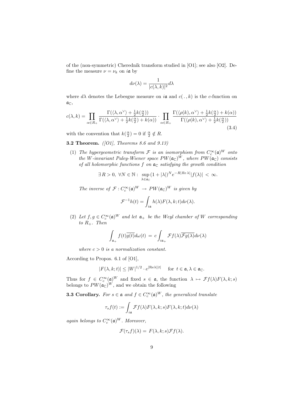of the (non-symmetric) Cherednik transform studied in [O1]; see also [O2]. Define the measure  $\nu = \nu_k$  on *i* a by

$$
d\nu(\lambda) = \frac{1}{|c(\lambda, k)|^2} d\lambda
$$

where  $d\lambda$  denotes the Lebesgue measure on ia and  $c(. , k)$  is the c-function on  $\mathfrak{a}_\mathbb{C},$ 

$$
c(\lambda, k) = \prod_{\alpha \in R_+} \frac{\Gamma(\langle \lambda, \alpha^{\vee} \rangle + \frac{1}{2}k(\frac{\alpha}{2}))}{\Gamma(\langle \lambda, \alpha^{\vee} \rangle + \frac{1}{2}k(\frac{\alpha}{2}) + k(\alpha))} \cdot \prod_{\alpha \in R_+} \frac{\Gamma(\langle \rho(k), \alpha^{\vee} \rangle + \frac{1}{2}k(\frac{\alpha}{2}) + k(\alpha))}{\Gamma(\langle \rho(k), \alpha^{\vee} \rangle + \frac{1}{2}k(\frac{\alpha}{2}))}
$$
(3.4)

with the convention that  $k(\frac{\alpha}{2}) = 0$  if  $\frac{\alpha}{2} \notin R$ .

**3.2 Theorem.** ([O1], Theorems 8.6 and 9.13)

(1) The hypergeometric transform  $\mathcal F$  is an isomorphism from  $C_c^{\infty}(\mathfrak a)^W$  onto the W-invariant Paley-Wiener space  $PW(\mathfrak{a}_{\mathbb{C}})^W$ , where  $PW(\mathfrak{a}_{\mathbb{C}})$  consists of all holomorphic functions f on  $a_{\mathbb{C}}$  satisfying the growth condition

$$
\exists R > 0, \ \forall N \in \mathbb{N}: \ \sup_{\lambda \in \mathfrak{a}_{\mathbb{C}}} (1 + |\lambda|)^N e^{-R|Re\lambda|} |f(\lambda)| < \infty.
$$

The inverse of  $\mathcal{F}: C_c^{\infty}(\mathfrak{a})^W \to PW(\mathfrak{a}_\mathbb{C})^W$  is given by

$$
\mathcal{F}^{-1}h(t) = \int_{i\mathfrak{a}} h(\lambda) F(\lambda, k; t) d\nu(\lambda).
$$

(2) Let  $f, g \in C_c^{\infty}(\mathfrak{a})^W$  and let  $\mathfrak{a}_+$  be the Weyl chamber of W corresponding to  $R_+$ . Then

$$
\int_{\mathfrak{a}_+} f(t) \overline{g(t)} d\omega(t) = c \int_{i\mathfrak{a}_+} \mathcal{F}f(\lambda) \overline{\mathcal{F}g(\lambda)} d\nu(\lambda)
$$

where  $c > 0$  is a normalization constant.

According to Propos. 6.1 of [O1],

$$
|F(\lambda, k; t)| \le |W|^{1/2} \cdot e^{|\text{Re}\lambda||t|} \quad \text{ for } t \in \mathfrak{a}, \lambda \in \mathfrak{a}_{\mathbb{C}}.
$$

Thus for  $f \in C_c^{\infty}(\mathfrak{a})^W$  and fixed  $s \in \mathfrak{a}$ , the function  $\lambda \mapsto \mathcal{F}f(\lambda)F(\lambda, k; s)$ belongs to  $PW(\mathfrak{a}_{\mathbb{C}})^W$ , and we obtain the following

**3.3 Corollary.** For  $s \in \mathfrak{a}$  and  $f \in C_c^{\infty}(\mathfrak{a})^W$ , the generalized translate

$$
\tau_s f(t) := \int_{i\mathfrak{a}} \mathcal{F}f(\lambda) F(\lambda, k; s) F(\lambda, k; t) d\nu(\lambda)
$$

again belongs to  $C_c^{\infty}(\mathfrak{a})^W$ . Moreover,

$$
\mathcal{F}(\tau_s f)(\lambda) = F(\lambda, k; s) \mathcal{F}f(\lambda).
$$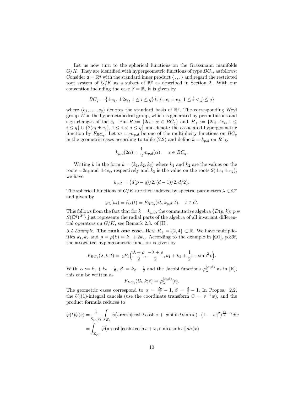Let us now turn to the spherical functions on the Grassmann manifolds  $G/K$ . They are identified with hypergeometric functions of type  $BC_q$ , as follows: Consider  $\mathfrak{a} = \mathbb{R}^q$  with the standard inner product  $\langle \cdot, \cdot \rangle$  and regard the restricted root system of  $G/K$  as a subset of  $\mathbb{R}^q$  as described in Section 2. With our convention including the case  $\mathbb{F} = \mathbb{R}$ , it is given by

$$
BC_q = \{ \pm e_i, \, \pm 2e_i, \, 1 \le i \le q \} \cup \{ \pm e_i \pm e_j, \, 1 \le i < j \le q \}
$$

where  $(e_1, \ldots, e_q)$  denotes the standard basis of  $\mathbb{R}^q$ . The corresponding Weyl group  $W$  is the hyperoctahedral group, which is generated by permutations and sign changes of the  $e_i$ . Put  $R := \{2\alpha : \alpha \in BC_q\}$  and  $R_+ := \{2e_i, 4e_i, 1 \leq \alpha\}$  $i \leq q$   $\cup$  {2( $e_i \pm e_j$ ),  $1 \leq i < j \leq q$ } and denote the associated hypergeometric function by  $F_{BC_q}$ . Let  $m = m_{p,d}$  be one of the multiplicity functions on  $BC_q$ in the geometric cases according to table (2.2) and define  $k = k_{p,d}$  on R by

$$
k_{p,d}(2\alpha) = \frac{1}{2}m_{p,d}(\alpha), \quad \alpha \in BC_q.
$$

Writing k in the form  $k = (k_1, k_2, k_3)$  where  $k_1$  and  $k_2$  are the values on the roots  $\pm 2e_i$  and  $\pm 4e_i$ , respectively and  $k_3$  is the value on the roots  $2(\pm e_i \pm e_j)$ , we have

$$
k_{p,d} = (d(p-q)/2, (d-1)/2, d/2).
$$

The spherical functions of  $G/K$  are then indexed by spectral parameters  $\lambda \in \mathbb{C}^q$ and given by

$$
\varphi_{\lambda}(a_t) = \widetilde{\varphi}_{\lambda}(t) = F_{BC_q}(i\lambda, k_{p,d}; t), \quad t \in C.
$$

This follows from the fact that for  $k = k_{p,d}$ , the commutative algebra  $\{D(p, k); p \in$  $S(\mathbb{C}^q)^W$  just represents the radial parts of the algebra of all invariant differential operators on  $G/K$ , see Remark 2.3. of [H].

3.4 Example. The rank one case. Here  $R_+ = \{2, 4\} \subset \mathbb{R}$ . We have multiplicities  $k_1, k_2$  and  $\rho = \rho(k) = k_1 + 2k_2$ . According to the example in [O1], p.89f, the associated hypergeometric function is given by

$$
F_{BC_1}(\lambda, k; t) = {}_2F_1\left(\frac{\lambda + \rho}{2}, \frac{-\lambda + \rho}{2}, k_1 + k_2 + \frac{1}{2}; -\sinh^2 t\right).
$$

With  $\alpha := k_1 + k_2 - \frac{1}{2}, \beta := k_2 - \frac{1}{2}$  and the Jacobi functions  $\varphi_{\lambda}^{(\alpha,\beta)}$  as in [K], this can be written as

$$
F_{BC_1}(i\lambda, k; t) = \varphi_{\lambda}^{(\alpha, \beta)}(t).
$$

The geometric cases correspond to  $\alpha = \frac{dp}{2} - 1$ ,  $\beta = \frac{d}{2} - 1$ . In Propos. 2.2, the  $U_0(1)$ -integral cancels (use the coordinate transform  $\tilde{w} := v^{-1}w$ ), and the product formula reduces to product formula reduces to

$$
\widetilde{\varphi}(t)\widetilde{\varphi}(s) = \frac{1}{\kappa_{pd/2}} \int_{B_1} \widetilde{\varphi}(\text{arcosh}|\cosh t \cosh s + w \sinh t \sinh s|) \cdot (1 - |w|^2)^{\frac{pd}{2} - \gamma} dw
$$

$$
= \int_{\Sigma_{p,1}} \widetilde{\varphi}(\text{arcosh}|\cosh t \cosh s + x_1 \sinh t \sinh s|) d\sigma(x)
$$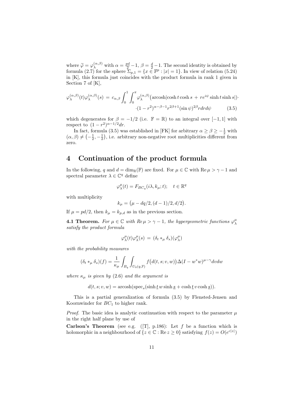where  $\widetilde{\varphi} = \varphi_{\lambda}^{(\alpha,\beta)}$  with  $\alpha = \frac{pd}{2} - 1$ ,  $\beta = \frac{d}{2} - 1$ . The second identity is obtained by formula (2.7) for the sphere  $\sum_{\alpha}$   $\alpha = \int x \in \mathbb{R}^p \cdot |x| = 1$ . In view of relation (5.24) formula (2.7) for the sphere  $\Sigma_{p,1} = \{x \in \mathbb{F}^p : |x| = 1\}$ . In view of relation (5.24) in [K], this formula just coincides with the product formula in rank 1 given in Section 7 of [K],

$$
\varphi_{\lambda}^{(\alpha,\beta)}(t)\varphi_{\lambda}^{(\alpha,\beta)}(s) = c_{\alpha,\beta} \int_0^1 \int_0^{\pi} \varphi_{\lambda}^{(\alpha,\beta)}(\text{arcosh}|\cosh t \cosh s + r e^{i\psi} \sinh t \sinh s|) \cdot (1 - r^2)^{\alpha - \beta - 1} r^{2\beta + 1}(\sin \psi)^{2\beta} r dr d\psi \qquad (3.5)
$$

which degenerates for  $\beta = -1/2$  (i.e.  $\mathbb{F} = \mathbb{R}$ ) to an integral over [-1,1] with respect to  $(1 - r^2)^{\alpha - 1/2} dr$ .

In fact, formula (3.5) was established in [FK] for arbitrary  $\alpha \ge \beta \ge -\frac{1}{2}$  with  $(\alpha, \beta) \neq \left(-\frac{1}{2}, -\frac{1}{2}\right)$ , i.e. arbitrary non-negative root multiplicities different from zero.

#### 4 Continuation of the product formula

In the following, q and  $d = \dim_{\mathbb{R}}(\mathbb{F})$  are fixed. For  $\mu \in \mathbb{C}$  with  $\text{Re } \mu > \gamma - 1$  and spectral parameter  $\lambda \in \mathbb{C}^q$  define

$$
\varphi_{\lambda}^{\mu}(t) = F_{BC_q}(i\lambda, k_{\mu}; t); \quad t \in \mathbb{R}^q
$$

with multiplicity

$$
k_{\mu} = (\mu - dq/2, (d - 1)/2, d/2).
$$

If  $\mu = pd/2$ , then  $k_{\mu} = k_{p,d}$  as in the previous section.

**4.1 Theorem.** For  $\mu \in \mathbb{C}$  with  $Re \mu > \gamma - 1$ , the hypergeometric functions  $\varphi_{\lambda}^{\mu}$ satisfy the product formula

$$
\varphi_{\lambda}^{\mu}(t)\varphi_{\lambda}^{\mu}(s) = (\delta_t *_{\mu} \delta_s)(\varphi_{\lambda}^{\mu})
$$

with the probability measures

$$
(\delta_t *_\mu \delta_s)(f) = \frac{1}{\kappa_\mu} \int_{B_q} \int_{U_0(q,\mathbb{F})} f(d(t,s;v,w)) \Delta(I - w^*w)^{\mu - \gamma} dv dw
$$

where  $\kappa_{\mu}$  is given by (2.6) and the argument is

 $d(t, s; v, w) = \operatorname{arcosh}(\operatorname{spec}_s(\sinh \underline{t} w \sinh \underline{s} + \cosh \underline{t} v \cosh \underline{s})).$ 

This is a partial generalization of formula (3.5) by Flensted-Jensen and Koornwinder for  $BC_1$  to higher rank.

*Proof.* The basic idea is analytic continuation with respect to the parameter  $\mu$ in the right half plane by use of

**Carlson's Theorem** (see e.g. ([T], p.186): Let f be a function which is holomorphic in a neighbourhood of  $\{z \in \mathbb{C} : \text{Re } z \ge 0\}$  satisfying  $f(z) = O(e^{c|z|})$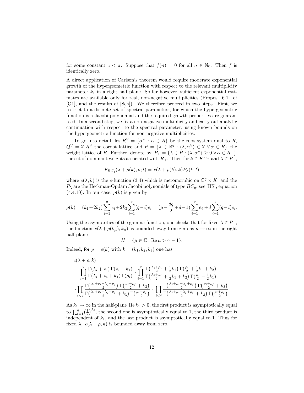for some constant  $c < \pi$ . Suppose that  $f(n) = 0$  for all  $n \in \mathbb{N}_0$ . Then f is identically zero.

A direct application of Carlson's theorem would require moderate exponential growth of the hypergeometric function with respect to the relevant multiplicity parameter  $k_1$  in a right half plane. So far however, sufficient exponential estimates are available only for real, non-negative multiplicities (Propos. 6.1. of [O1], and the results of [Sch]). We therefore proceed in two steps. First, we restrict to a discrete set of spectral parameters, for which the hypergeometric function is a Jacobi polynomial and the required growth properties are guaranteed. In a second step, we fix a non-negative multiplicity and carry out analytic continuation with respect to the spectral parameter, using known bounds on the hypergeometric function for non-negative multiplicities.

To go into detail, let  $R^{\vee} = {\alpha^{\vee} : \alpha \in R}$  be the root system dual to R,  $Q^{\vee} = \mathbb{Z}.R^{\vee}$  the coroot lattice and  $P = {\{\lambda \in \mathbb{R}^q : \langle \lambda, \alpha^{\vee} \rangle \in \mathbb{Z} \forall \alpha \in R\}}$  the weight lattice of R. Further, denote by  $P_+ = {\lambda \in P : \langle \lambda, \alpha^\vee \rangle \geq 0 \,\forall \alpha \in R_+}$ the set of dominant weights associated with  $R_+$ . Then for  $k \in K^{reg}$  and  $\lambda \in P_+$ ,

$$
F_{BC_q}(\lambda + \rho(k), k; t) = c(\lambda + \rho(k), k) P_{\lambda}(k; t)
$$

where  $c(\lambda, k)$  is the c-function (3.4) which is meromorphic on  $\mathbb{C}^q \times K$ , and the  $P_{\lambda}$  are the Heckman-Opdam Jacobi polynomials of type  $BC_q$ ; see [HS], equation  $(4.4.10)$ . In our case,  $\rho(k)$  is given by

$$
\rho(k) = (k_1 + 2k_2) \sum_{i=1}^q e_i + 2k_3 \sum_{i=1}^q (q-i)e_i = (\mu - \frac{dq}{2} + d - 1) \sum_{i=1}^q e_i + d \sum_{i=1}^q (q-i)e_i.
$$

Using the asymptotics of the gamma function, one checks that for fixed  $\lambda \in P_+$ , the function  $c(\lambda + \rho(k_\mu), k_\mu)$  is bounded away from zero as  $\mu \to \infty$  in the right half plane

$$
H = \{\mu \in \mathbb{C} : \text{Re}\,\mu > \gamma - 1\}.
$$

Indeed, for  $\rho = \rho(k)$  with  $k = (k_1, k_2, k_3)$  one has

$$
c(\lambda + \rho, k) =
$$
\n
$$
= \prod_{i=1}^{q} \frac{\Gamma(\lambda_i + \rho_i) \Gamma(\rho_i + k_1)}{\Gamma(\lambda_i + \rho_i + k_1) \Gamma(\rho_i)} \cdot \prod_{i=1}^{q} \frac{\Gamma(\frac{\lambda_i + \rho_i}{2} + \frac{1}{2}k_1) \Gamma(\frac{\rho_i}{2} + \frac{1}{2}k_1 + k_2)}{\Gamma(\frac{\lambda_i + \rho_i}{2} + \frac{1}{2}k_1 + k_2) \Gamma(\frac{\rho_i}{2} + \frac{1}{2}k_1)}
$$
\n
$$
\cdot \prod_{i < j} \frac{\Gamma(\frac{\lambda_i + \rho_i - \lambda_j - \rho_j}{2}) \Gamma(\frac{\rho_i - \rho_j}{2} + k_3)}{\Gamma(\frac{\lambda_i + \rho_i - \lambda_j - \rho_j}{2} + k_3) \Gamma(\frac{\rho_i - \rho_j}{2})} \cdot \prod_{i < j} \frac{\Gamma(\frac{\lambda_i + \rho_i + \lambda_j + \rho_j}{2}) \Gamma(\frac{\rho_i + \rho_j}{2} + k_3)}{\Gamma(\frac{\lambda_i + \rho_i + \lambda_j + \rho_j}{2} + k_3) \Gamma(\frac{\rho_i + \rho_j}{2})}.
$$

As  $k_1 \to \infty$  in the half-plane Re  $k_1 > 0$ , the first product is asymptotically equal to  $\prod_{i=1}^{q} \left(\frac{1}{2}\right)^{\lambda_i}$ , the second one is asymptotically equal to 1, the third product is independent of  $k_1$ , and the last product is asymptotically equal to 1. Thus for fixed  $\lambda$ ,  $c(\lambda + \rho, k)$  is bounded away from zero.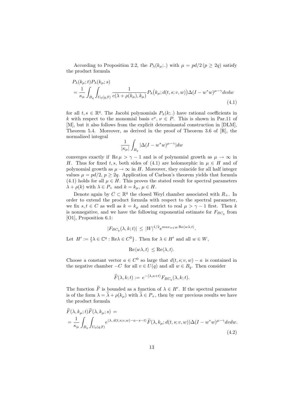According to Proposition 2.2, the  $P_{\lambda}(k_{\mu};.)$  with  $\mu = pd/2 (p \geq 2q)$  satisfy the product formula

$$
P_{\lambda}(k_{\mu};t)P_{\lambda}(k_{\mu};s)
$$
  
= 
$$
\frac{1}{\kappa_{\mu}} \int_{B_q} \int_{U_0(q,\mathbb{F})} \frac{1}{c(\lambda + \rho(k_{\mu}),k_{\mu})} P_{\lambda}(k_{\mu};d(t,s;v,w)) \Delta(I - w^*w)^{\mu-\gamma} dv dw
$$
  
(4.1)

for all  $t, s \in \mathbb{R}^q$ . The Jacobi polynomials  $P_\lambda(k;.)$  have rational coefficients in k with respect to the monomial basis  $e^{\nu}$ ,  $\nu \in P$ . This is shown in Par.11 of [M], but it also follows from the explicit determinantal construction in [DLM], Theorem 5.4. Moreover, as derived in the proof of Theorem 3.6 of [R], the normalized integral

$$
\frac{1}{|\kappa_{\mu}|} \int_{B_q} |\Delta (I - w^*w)^{\mu - \gamma}| dw
$$

converges exactly if Re  $\mu > \gamma - 1$  and is of polynomial growth as  $\mu \to \infty$  in H. Thus for fixed t, s, both sides of (4.1) are holomorphic in  $\mu \in H$  and of polynomial growth as  $\mu \to \infty$  in H. Moreover, they coincide for all half integer values  $\mu = pd/2$ ,  $p \geq 2q$ . Application of Carlson's theorem yields that formula (4.1) holds for all  $\mu \in H$ . This proves the stated result for spectral parameters  $\lambda + \rho(k)$  with  $\lambda \in P_+$  and  $k = k_\mu, \mu \in H$ .

Denote again by  $C \subset \mathbb{R}^q$  the closed Weyl chamber associated with  $R_+$ . In order to extend the product formula with respect to the spectral parameter, we fix  $s, t \in C$  as well as  $k = k_{\mu}$  and restrict to real  $\mu > \gamma - 1$  first. Then k is nonnegative, and we have the following exponential estimate for  $F_{BC_q}$  from [O1], Proposition 6.1:

$$
|F_{BC_q}(\lambda, k; t)| \leq |W|^{1/2} e^{\max_{w \in W} \text{Re}\langle w \lambda, t \rangle}.
$$

Let  $H' := {\lambda \in \mathbb{C}^q : \text{Re}\lambda \in C^0}$ . Then for  $\lambda \in H'$  and all  $w \in W$ ,

 $\sim$ 

 $\text{Re}\langle w\lambda, t\rangle \leq \text{Re}\langle \lambda, t\rangle.$ 

Choose a constant vector  $a \in C^0$  so large that  $d(t, s; v, w) - a$  is contained in the negative chamber  $-C$  for all  $v \in U(q)$  and all  $w \in B_q$ . Then consider

$$
\widetilde{F}(\lambda,k;t) := e^{-\langle \lambda, a+t \rangle} F_{BC_q}(\lambda,k;t).
$$

The function F is bounded as a function of  $\lambda \in H'$ . If the spectral parameter is of the form  $\lambda = \tilde{\lambda} + \rho(k_\mu)$  with  $\tilde{\lambda} \in P_+$ , then by our previous results we have the product formula

$$
F(\lambda, k_{\mu}; t) F(\lambda, k_{\mu}; s) =
$$
  
= 
$$
\frac{1}{\kappa_{\mu}} \int_{B_q} \int_{U_0(q, \mathbb{F})} e^{\langle \lambda, d(t, s; v, w) - a - s - t \rangle} \widetilde{F}(\lambda, k_{\mu}; d(t, s; v, w)) \Delta(I - w^* w)^{\mu - \gamma} dv dw.
$$
  
(4.2)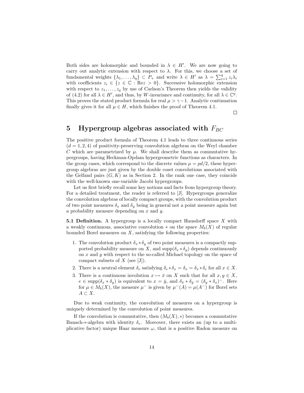Both sides are holomorphic and bounded in  $\lambda \in H'$ . We are now going to carry out analytic extension with respect to  $\lambda$ . For this, we choose a set of fundamental weights  $\{\lambda_1, \ldots, \lambda_q\} \subset P_+$  and write  $\lambda \in H'$  as  $\lambda = \sum_{i=1}^q z_i \lambda_i$ with coefficients  $z_i \in \{z \in \mathbb{C} : \text{Re} z > 0\}$ . Successive holomorphic extension with respect to  $z_1, \ldots, z_q$  by use of Carlson's Theorem then yields the validity of (4.2) for all  $\lambda \in H'$ , and thus, by W-invariance and continuity, for all  $\lambda \in \mathbb{C}^q$ . This proves the stated product formula for real  $\mu > \gamma - 1$ . Analytic continuation finally gives it for all  $\mu \in H$ , which finishes the proof of Theorem 4.1.

 $\Box$ 

#### 5 Hypergroup algebras associated with  $F_{BC}$

The positive product formula of Theorem 4.1 leads to three continuous series  $(d = 1, 2, 4)$  of positivity-preserving convolution algebras on the Weyl chamber C which are parametrized by  $\mu$ . We shall describe them as commutative hypergroups, having Heckman-Opdam hypergeometric functions as characters. In the group cases, which correspond to the discrete values  $\mu = pd/2$ , these hypergroup algebras are just given by the double coset convolutions associated with the Gelfand pairs  $(G, K)$  as in Section 2. In the rank one case, they coincide with the well-known one-variable Jacobi hypergroups.

Let us first briefly recall some key notions and facts from hypergroup theory. For a detailed treatment, the reader is referred to [J]. Hypergroups generalize the convolution algebras of locally compact groups, with the convolution product of two point measures  $\delta_x$  and  $\delta_y$  being in general not a point measure again but a probability measure depending on  $x$  and  $y$ .

**5.1 Definition.** A hypergroup is a locally compact Hausdorff space  $X$  with a weakly continuous, associative convolution  $*$  on the space  $M_b(X)$  of regular bounded Borel measures on  $X$ , satisfying the following properties:

- 1. The convolution product  $\delta_x * \delta_y$  of two point measures is a compactly supported probability measure on X, and  $\text{supp}(\delta_x * \delta_y)$  depends continuously on x and y with respect to the so-called Michael topology on the space of compact subsets of  $X$  (see [J]).
- 2. There is a neutral element  $\delta_e$  satisfying  $\delta_e * \delta_x = \delta_x = \delta_x * \delta_e$  for all  $x \in X$ .
- 3. There is a continuous involution  $x \mapsto \bar{x}$  on X such that for all  $x, y \in X$ ,  $e \in \text{supp}(\delta_x * \delta_y)$  is equivalent to  $x = \bar{y}$ , and  $\delta_{\bar{x}} * \delta_{\bar{y}} = (\delta_y * \delta_x)^{-}$ . Here for  $\mu \in M_b(X)$ , the measure  $\mu^-$  is given by  $\mu^-(A) = \mu(A^-)$  for Borel sets  $A \subset X$ .

Due to weak continuity, the convolution of measures on a hypergroup is uniquely determined by the convolution of point measures.

If the convolution is commutative, then  $(M_b(X), *)$  becomes a commutative Banach-∗-algebra with identity  $\delta_e$ . Moreover, there exists an (up to a multiplicative factor) unique Haar measure  $\omega$ , that is a positive Radon measure on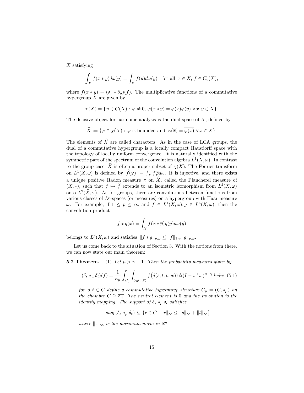$X$  satisfying

$$
\int_X f(x*y)d\omega(y) = \int_X f(y)d\omega(y) \text{ for all } x \in X, f \in C_c(X),
$$

where  $f(x * y) = (\delta_x * \delta_y)(f)$ . The multiplicative functions of a commutative hypergroup  $X$  are given by

$$
\chi(X) = \{ \varphi \in C(X) : \varphi \neq 0, \varphi(x * y) = \varphi(x)\varphi(y) \,\forall x, y \in X \}.
$$

The decisive object for harmonic analysis is the dual space of  $X$ , defined by

$$
\widehat{X} := \{ \varphi \in \chi(X) : \varphi \text{ is bounded and } \varphi(\overline{x}) = \overline{\varphi(x)} \,\,\forall x \in X \}.
$$

The elements of  $\widehat{X}$  are called characters. As in the case of LCA groups, the dual of a commutative hypergroup is a locally compact Hausdorff space with the topology of locally uniform convergence. It is naturally identified with the symmetric part of the spectrum of the convolution algebra  $L^1(X, \omega)$ . In contrast to the group case,  $\hat{X}$  is often a proper subset of  $\chi(X)$ . The Fourier transform on  $L^1(X, \omega)$  is defined by  $\widehat{f}(\varphi) := \int_X f \overline{\varphi} d\omega$ . It is injective, and there exists a unique positive Radon measure  $\pi$  on  $\hat{X}$ , called the Plancherel measure of  $(X, *)$ , such that  $f \mapsto \hat{f}$  extends to an isometric isomorphism from  $L^2(X, \omega)$ onto  $L^2(\hat{X}, \pi)$ . As for groups, there are convolutions between functions from various classes of  $L^p$ -spaces (or measures) on a hypergroup with Haar measure ω. For example, if  $1 \textless p \textless \infty$  and  $f \textless L<sup>1</sup>(X, ω)$ ,  $g \textless L<sup>p</sup>(X, ω)$ , then the convolution product

$$
f * g(x) = \int_X f(x * \overline{y}) g(y) d\omega(y)
$$

belongs to  $L^p(X, \omega)$  and satisfies  $|| f * g||_{p,\omega} \leq ||f||_{1,\omega} ||g||_{p,\omega}$ .

Let us come back to the situation of Section 3. With the notions from there, we can now state our main theorem:

**5.2 Theorem.** (1) Let  $\mu > \gamma - 1$ . Then the probability measures given by

$$
(\delta_s *_\mu \delta_t)(f) = \frac{1}{\kappa_\mu} \int_{B_q} \int_{U_0(q,\mathbb{F})} f\big(d(s,t;v,w)\big) \Delta(I - w^*w)^{\mu - \gamma} dv dw \tag{5.1}
$$

for  $s, t \in C$  define a commutative hypergroup structure  $C_{\mu} = (C, *_{\mu})$  on the chamber  $C \cong \overline{\mathfrak{a}_+}.$  The neutral element is 0 and the involution is the *identity mapping. The support of*  $\delta_s *_{\mu} \delta_t$  *satisfies* 

$$
supp(\delta_s *_\mu \delta_t) \subseteq \{r \in C : ||r||_{\infty} \le ||s||_{\infty} + ||t||_{\infty}\}
$$

where  $\|\cdot\|_{\infty}$  is the maximum norm in  $\mathbb{R}^{q}$ .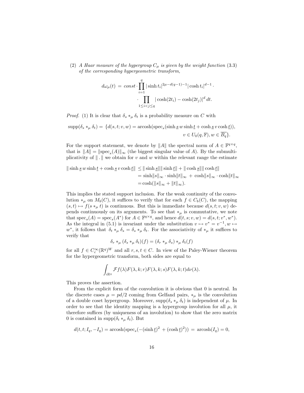(2) A Haar measure of the hypergroup  $C_{\mu}$  is given by the weight function (3.3) of the corresponding hypergeometric transform,

$$
d\omega_{\mu}(t) = const \cdot \prod_{i=1}^{q} |\sinh t_i|^{2\mu - d(q-1) - 1} |\cosh t_i|^{d-1} \cdot \prod_{1 \le i < j \le q} |\cosh(2t_i) - \cosh(2t_j)|^d \, dt.
$$

*Proof.* (1) It is clear that  $\delta_s *_{\mu} \delta_t$  is a probability measure on C with

$$
\text{supp}(\delta_s *_\mu \delta_t) = \{d(s, t; v, w) = \text{arcosh}(\text{spec}_s(\sinh \underline{s} w \sinh \underline{t} + \cosh \underline{s} v \cosh \underline{t})),
$$
  

$$
v \in U_0(q, \mathbb{F}), w \in \overline{B_q}\}.
$$

For the support statement, we denote by  $||A||$  the spectral norm of  $A \in \mathbb{F}^{q \times q}$ , that is  $||A|| = ||\text{spec}_s(A)||_{\infty}$  (the biggest singular value of A). By the submultiplicativity of  $\|\cdot\|$  we obtain for v and w within the relevant range the estimate

$$
\|\sinh \underline{s} \, w \sinh \underline{t} + \cosh \underline{s} \, v \cosh \underline{t}\| \leq \|\sinh \underline{s}\| \|\sinh \underline{t}\| + \|\cosh \underline{s}\| \|\cosh \underline{t}\|
$$
  
=  $\sinh \|s\|_{\infty} \cdot \sinh \|t\|_{\infty} + \cosh \|s\|_{\infty} \cdot \cosh \|t\|_{\infty}$   
=  $\cosh (\|s\|_{\infty} + \|t\|_{\infty}).$ 

This implies the stated support inclusion. For the weak continuity of the convolution  $*_\mu$  on  $M_b(C)$ , it suffices to verify that for each  $f \in C_b(C)$ , the mapping  $(s, t) \mapsto f(s *_\mu t)$  is continuous. But this is immediate because  $d(s, t; v, w)$  depends continuously on its arguments. To see that  $*_\mu$  is commutative, we note that  $\operatorname{spec}_s(A) = \operatorname{spec}_s(A^*)$  for  $A \in \mathbb{F}^{q \times q}$ , and hence  $d(t, s; v, w) = d(s, t; v^*, w^*)$ . As the integral in (5.1) is invariant under the substitution  $v \mapsto v^* = v^{-1}, w \mapsto$ w<sup>\*</sup>, it follows that  $\delta_t *_{\mu} \delta_s = \delta_s *_{\mu} \delta_t$ . For the associativity of  $*_{\mu}$  it suffices to verify that

$$
\delta_r *_\mu (\delta_s *_\mu \delta_t)(f) = (\delta_r *_\mu \delta_s)*_\mu \delta_t(f)
$$

for all  $f \in C_c^{\infty}(\mathbb{R}^q)^W$  and all  $r, s, t \in C$ . In view of the Paley-Wiener theorem for the hypergeometric transform, both sides are equal to

$$
\int_{i\mathbb{R}^q} \mathcal{F}f(\lambda) F(\lambda,k;r)F(\lambda,k;s)F(\lambda,k;t) d\nu(\lambda).
$$

This proves the assertion.

From the explicit form of the convolution it is obvious that 0 is neutral. In the discrete cases  $\mu = pd/2$  coming from Gelfand pairs,  $*_\mu$  is the convolution of a double coset hypergroup. Moreover,  $\text{supp}(\delta_s *_{\mu} \delta_t)$  is independent of  $\mu$ . In order to see that the identity mapping is a hypergroup involution for all  $\mu$ , it therefore suffices (by uniqueness of an involution) to show that the zero matrix 0 is contained in supp $(\delta_t *_{\mu} \delta_t)$ . But

$$
d(t, t; I_q, -I_q) = \operatorname{arcosh}(\operatorname{spec}_s(-(\sinh t)^2 + (\cosh t)^2)) = \operatorname{arcosh}(I_q) = 0,
$$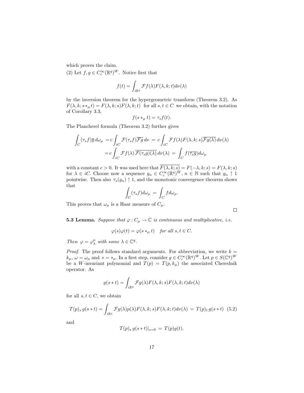which proves the claim.

(2) Let  $f, g \in C_c^{\infty}(\mathbb{R}^q)^W$ . Notice first that

$$
f(t) = \int_{i\mathbb{R}^q} \mathcal{F}f(\lambda) F(\lambda, k; t) d\nu(\lambda)
$$

by the inversion theorem for the hypergeometric transform (Theorem 3.2). As  $F(\lambda, k; s *_\mu t) = F(\lambda, k; s)F(\lambda, k; t)$  for all  $s, t \in C$  we obtain, with the notation of Corollary 3.3,

$$
f(s \ast_{\mu} t) = \tau_s f(t).
$$

The Plancherel formula (Theorem 3.2) further gives

$$
\int_C (\tau_s f) \overline{g} d\omega_\mu = c \int_{iC} \mathcal{F}(\tau_s f) \overline{\mathcal{F}g} d\nu = c \int_{iC} \mathcal{F}f(\lambda) F(\lambda, k; s) \overline{\mathcal{F}g(\lambda)} d\nu(\lambda)
$$

$$
= c \int_{iC} \mathcal{F}f(\lambda) \overline{\mathcal{F}(\tau_s g)(\lambda)} d\nu(\lambda) = \int_C f(\overline{\tau_s g}) d\omega_\mu
$$

with a constant  $c > 0$ . It was used here that  $F(\lambda, k; s) = F(-\lambda, k; s) = F(\lambda, k; s)$ for  $\lambda \in iC$ . Choose now a sequence  $g_n \in C_c^{\infty}(\mathbb{R}^q)^W$ ,  $n \in \mathbb{N}$  such that  $g_n \uparrow 1$ pointwise. Then also  $\tau_s(g_n) \uparrow 1$ , and the monotonic convergence theorem shows that

$$
\int_C (\tau_s f) d\omega_\mu = \int_C f d\omega_\mu.
$$

This proves that  $\omega_{\mu}$  is a Haar measure of  $C_{\mu}$ .

**5.3 Lemma.** Suppose that  $\varphi : C_{\mu} \to \mathbb{C}$  is continuous and multiplicative, i.e.

$$
\varphi(s)\varphi(t) = \varphi(s \ast_{\mu} t) \quad \text{for all } s, t \in C.
$$

Then  $\varphi = \varphi_{\lambda}^{\mu}$  with some  $\lambda \in \mathbb{C}^{q}$ .

*Proof.* The proof follows standard arguments. For abbreviation, we write  $k =$  $k_{\mu}$ ,  $\omega = \omega_{\mu}$  and  $* = *_{\mu}$ . In a first step, consider  $g \in C_c^{\infty}(\mathbb{R}^q)^W$ . Let  $p \in S(\mathbb{C}^q)^W$ be a W-invariant polynomial and  $T(p) = T(p, k_{\mu})$  the associated Cherednik operator. As

$$
g(s*t)=\int_{i\mathbb{R}^q}\mathcal{F}g(\lambda)F(\lambda,k;s)F(\lambda,k;t)d\nu(\lambda)
$$

for all  $s, t \in C$ , we obtain

$$
T(p)_s g(s*t) = \int_{i\mathbb{R}^q} \mathcal{F}g(\lambda) p(\lambda) F(\lambda, k; s) F(\lambda, k; t) d\nu(\lambda) = T(p)_t g(s*t)
$$
 (5.2)

and

$$
T(p)_s g(s * t)|_{s=0} = T(p)g(t).
$$

 $\Box$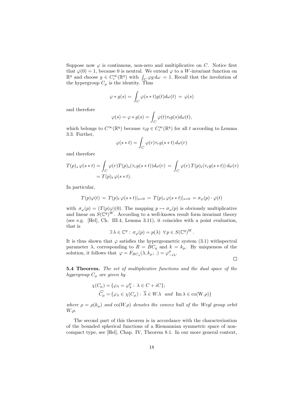Suppose now  $\varphi$  is continuous, non-zero and multiplicative on C. Notice first that  $\varphi(0) = 1$ , because 0 is neutral. We extend  $\varphi$  to a W-invariant function on  $\mathbb{R}^q$  and choose  $g \in C_c^{\infty}(\mathbb{R}^q)$  with  $\int_C \varphi g d\omega = 1$ . Recall that the involution of the hypergroup  $C_{\mu}$  is the identity. Thus

$$
\varphi * g(s) = \int_C \varphi(s * t) g(t) d\omega(t) = \varphi(s)
$$

and therefore

$$
\varphi(s) = \varphi * g(s) = \int_C \varphi(t) \tau_t g(s) d\omega(t),
$$

which belongs to  $C^{\infty}(\mathbb{R}^q)$  because  $\tau_t g \in C_c^{\infty}(\mathbb{R}^q)$  for all t according to Lemma 3.3. Further,

$$
\varphi(s*t) = \int_C \varphi(r)\tau_r g(s*t) d\omega(r)
$$

and therefore

$$
T(p)_s \varphi(s*t) = \int_C \varphi(r) T(p)_s(\tau_r g(s*t)) d\omega(r) = \int_C \varphi(r) T(p)_t(\tau_r g(s*t)) d\omega(r)
$$
  
=  $T(p)_t \varphi(s*t)$ .

In particular,

$$
T(p)\varphi(t) = T(p)_t \varphi(s*t)|_{s=0} = T(p)_s \varphi(s*t)|_{s=0} = \sigma_{\varphi}(p) \cdot \varphi(t)
$$

with  $\sigma_{\varphi}(p) = (T(p)\varphi)(0)$ . The mapping  $p \mapsto \sigma_{\varphi}(p)$  is obviously multiplicative and linear on  $S(\mathbb{C}^q)^W$ . According to a well-known result form invariant theory (see e.g. [Hel], Ch. III.4, Lemma 3.11), it coincides with a point evaluation, that is

$$
\exists \lambda \in \mathbb{C}^q : \sigma_{\varphi}(p) = p(\lambda) \ \forall p \in S(\mathbb{C}^q)^W.
$$

It is thus shown that  $\varphi$  satisfies the hypergeometric system (3.1) withspectral parameter  $\lambda$ , corresponding to  $R = BC_q$  and  $k = k_\mu$ . By uniqueness of the solution, it follows that  $\varphi = F_{BC_q}(\lambda, k_\mu; \cdot) = \varphi_{-i\lambda}^\mu$ .  $\Box$ 

5.4 Theorem. The set of multiplicative functions and the dual space of the hypergroup  $C_{\mu}$  are given by

$$
\chi(C_{\mu}) = \{ \varphi_{\lambda} = \varphi_{\lambda}^{\mu} : \lambda \in C + iC \};
$$
  

$$
\widehat{C}_{\mu} = \{ \varphi_{\lambda} \in \chi(C_{\mu}) : \overline{\lambda} \in W.\lambda \text{ and } \text{Im}\,\lambda \in \text{co}(W.\rho) \}
$$

where  $\rho = \rho(k_\mu)$  and co(W. $\rho$ ) denotes the convex hull of the Weyl group orbit  $W.\rho.$ 

The second part of this theorem is in accordance with the characterization of the bounded spherical functions of a Riemannian symmetric space of noncompact type, see [Hel], Chap. IV, Theorem 8.1. In our more general context,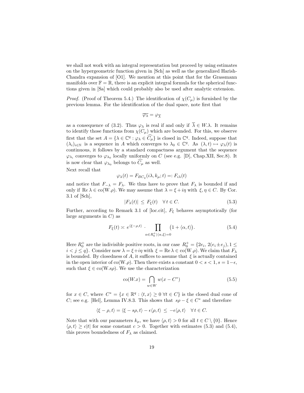we shall not work with an integral representation but proceed by using estimates on the hypergeometric function given in [Sch] as well as the generalized Harish-Chandra expansion of  $[O1]$ . We mention at this point that for the Grassmann manifolds over  $\mathbb{F} = \mathbb{R}$ , there is an explicit integral formula for the spherical functions given in [Sa] which could probably also be used after analytic extension.

*Proof.* (Proof of Theorem 5.4.) The identification of  $\chi(C_\mu)$  is furnished by the previous lemma. For the identification of the dual space, note first that

$$
\overline{\varphi_{\lambda}}=\varphi_{\overline{\lambda}}
$$

as a consequence of (3.2). Thus  $\varphi_{\lambda}$  is real if and only if  $\overline{\lambda} \in W.\lambda$ . It remains to identify those functions from  $\chi(C_\mu)$  which are bounded. For this, we observe first that the set  $A = \{ \lambda \in \mathbb{C}^q : \varphi_\lambda \in \widehat{C_\mu} \}$  is closed in  $\mathbb{C}^q$ . Indeed, suppose that  $(\lambda_i)_{i\in\mathbb{N}}$  is a sequence in A which converges to  $\lambda_0 \in \mathbb{C}^q$ . As  $(\lambda, t) \mapsto \varphi_\lambda(t)$  is continuous, it follows by a standard compactness argument that the sequence  $\varphi_{\lambda_i}$  converges to  $\varphi_{\lambda_0}$  locally uniformly on C (see e.g. [D], Chap.XII, Sec.8). It is now clear that  $\varphi_{\lambda_0}$  belongs to  $C_\mu$  as well.

Next recall that

$$
\varphi_{\lambda}(t) = F_{BC_q}(i\lambda, k_{\mu}; t) =: F_{i\lambda}(t)
$$

and notice that  $F_{-\lambda} = F_{\lambda}$ . We thus have to prove that  $F_{\lambda}$  is bounded if and only if  $\text{Re }\lambda \in \text{co}(W.\rho)$ . We may assume that  $\lambda = \xi + i\eta$  with  $\xi, \eta \in C$ . By Cor. 3.1 of [Sch],

$$
|F_{\lambda}(t)| \le F_{\xi}(t) \quad \forall \, t \in C. \tag{5.3}
$$

Further, according to Remark 3.1 of [loc.cit],  $F_{\xi}$  behaves asymptotically (for large arguments in  $C$ ) as

$$
F_{\xi}(t) \simeq e^{\langle \xi - \rho, t \rangle} \cdot \prod_{\alpha \in R_0^+ \mid \langle \alpha, \xi \rangle = 0} \left( 1 + \langle \alpha, t \rangle \right). \tag{5.4}
$$

Here  $R_0^+$  are the indivisible positive roots, in our case  $R_0^+ = \{2e_i, 2(e_i \pm e_j), 1 \leq i \leq n\}$  $i < j \le q$ . Consider now  $\lambda = \xi + i\eta$  with  $\xi = \text{Re }\lambda \in \text{co}(W.\rho)$ . We claim that  $F_{\lambda}$ is bounded. By closedness of A, it suffices to assume that  $\xi$  is actually contained in the open interior of co(W. $\rho$ ). Then there exists a constant  $0 < s < 1$ ,  $s = 1-\epsilon$ , such that  $\xi \in \text{co}(W.\text{s}_\theta)$ . We use the characterization

$$
co(W.x) = \bigcap_{w \in W} w(x - C^*)
$$
\n(5.5)

for  $x \in C$ , where  $C^* = \{x \in \mathbb{R}^q : \langle t, x \rangle \geq 0 \ \forall t \in C\}$  is the closed dual cone of C; see e.g. [Hel], Lemma IV.8.3. This shows that  $s\rho - \xi \in C^*$  and therefore

$$
\langle \xi - \rho, t \rangle = \langle \xi - s\rho, t \rangle - \epsilon \langle \rho, t \rangle \le -\epsilon \langle \rho, t \rangle \quad \forall t \in C.
$$

Note that with our parameters  $k_{\mu}$ , we have  $\langle \rho, t \rangle > 0$  for all  $t \in C \setminus \{0\}$ . Hence  $\langle \rho, t \rangle \ge c|t|$  for some constant  $c > 0$ . Together with estimates (5.3) and (5.4), this proves boundedness of  $F_{\lambda}$  as claimed.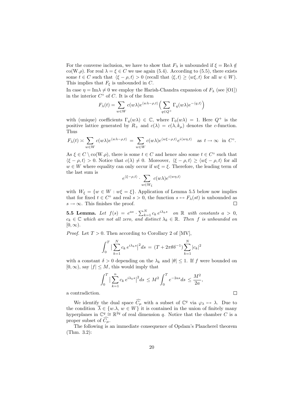For the converse inclusion, we have to show that  $F_{\lambda}$  is unbounded if  $\xi = \text{Re}\lambda \notin$ co(W. $\rho$ ). For real  $\lambda = \xi \in C$  we use again (5.4). According to (5.5), there exists some  $t \in C$  such that  $\langle \xi - \rho, t \rangle > 0$  (recall that  $\langle \xi, t \rangle \geq \langle w\xi, t \rangle$  for all  $w \in W$ ). This implies that  $F_{\xi}$  is unbounded in C.

In case  $\eta = \text{Im }\lambda \neq 0$  we employ the Harish-Chandra expansion of  $F_\lambda$  (see [O1]) in the interior  $C^{\circ}$  of C. It is of the form

$$
F_{\lambda}(t) = \sum_{w \in W} c(w\lambda) e^{\langle w\lambda - \rho, t \rangle} \Big(\sum_{q \in Q^{+}} \Gamma_{q}(w\lambda) e^{-\langle q, t \rangle} \Big)
$$

with (unique) coefficients  $\Gamma_q(w\lambda) \in \mathbb{C}$ , where  $\Gamma_0(w\lambda) = 1$ . Here  $Q^+$  is the positive lattice generated by  $R_+$  and  $c(\lambda) = c(\lambda, k_\mu)$  denotes the c-function. Thus

$$
F_{\lambda}(t) \asymp \sum_{w \in W} c(w\lambda) e^{\langle w\lambda - \rho, t \rangle} = \sum_{w \in W} c(w\lambda) e^{\langle w\xi - \rho, t \rangle} e^{i\langle w\eta, t \rangle} \text{ as } t \to \infty \text{ in } C^{\circ}.
$$

As  $\xi \in C \setminus \text{co}(W.\rho)$ , there is some  $t \in C$  and hence also some  $t \in C^{\circ}$  such that  $\langle \xi - \rho, t \rangle > 0$ . Notice that  $c(\lambda) \neq 0$ . Moreover,  $\langle \xi - \rho, t \rangle \geq \langle w\xi - \rho, t \rangle$  for all  $w \in W$  where equality can only occur if  $w\xi = \xi$ . Therefore, the leading term of the last sum is

$$
e^{\langle \xi-\rho,t\rangle}\cdot \sum_{w\in W_\xi}c(w\lambda)e^{i\langle w\eta,t\rangle}
$$

with  $W_{\xi} = \{w \in W : w\xi = \xi\}$ . Application of Lemma 5.5 below now implies that for fixed  $t \in C^{\circ}$  and real  $s > 0$ , the function  $s \mapsto F_{\lambda}(st)$  is unbounded as  $s \to \infty$ . This finishes the proof.  $\Box$ 

**5.5 Lemma.** Let  $f(s) = e^{as} \cdot \sum_{k=1}^{N} c_k e^{i\lambda_k s}$  on  $\mathbb{R}$  with constants  $a > 0$ ,  $c_k \in \mathbb{C}$  which are not all zero, and distinct  $\lambda_k \in \mathbb{R}$ . Then f is unbounded on  $[0, \infty)$ .

*Proof.* Let  $T > 0$ . Then according to Corollary 2 of [MV],

$$
\int_0^T \left| \sum_{k=1}^N c_k e^{i\lambda_k s} \right|^2 ds = (T + 2\pi\theta \delta^{-1}) \sum_{k=1}^N |c_k|^2
$$

with a constant  $\delta > 0$  depending on the  $\lambda_k$  and  $|\theta| \leq 1$ . If f were bounded on  $[0, \infty)$ , say  $|f| \leq M$ , this would imply that

$$
\int_0^T \big|\sum_{k=1}^n c_k e^{i\lambda_k s}\big|^2 ds \le M^2 \int_0^T e^{-2as} ds \le \frac{M^2}{2a},
$$

 $\Box$ 

a contradiction.

We identify the dual space  $\widehat{C_{\mu}}$  with a subset of  $\mathbb{C}^{q}$  via  $\varphi_{\lambda} \mapsto \lambda$ . Due to the condition  $\overline{\lambda} \in \{w.\lambda, w \in W\}$  it is contained in the union of finitely many hyperplanes in  $\mathbb{C}^q \cong \mathbb{R}^{2q}$  of real dimension q. Notice that the chamber C is a proper subset of  $C_u$ .

The following is an immediate consequence of Opdam's Plancherel theorem (Thm. 3.2):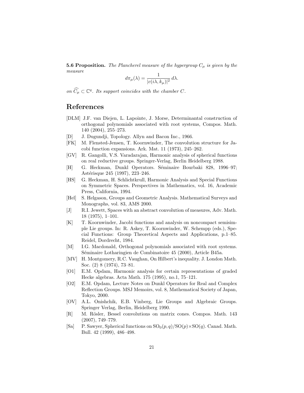**5.6 Proposition.** The Plancherel measure of the hypergroup  $C_{\mu}$  is given by the measure

$$
d\pi_{\mu}(\lambda) = \frac{1}{|c(i\lambda, k_{\mu})|^2} d\lambda.
$$

on  $\widehat{C}_{\mu} \subset \mathbb{C}^q$ . Its support coincides with the chamber C.

#### References

- [DLM] J.F. van Diejen, L. Lapointe, J. Morse, Determinantal construction of orthogonal polynomials associated with root systems, Compos. Math. 140 (2004), 255–273.
- [D] J. Dugundji, Topology. Allyn and Bacon Inc., 1966.
- [FK] M. Flensted-Jensen, T. Koornwinder, The convolution structure for Jacobi function expansions. Ark. Mat. 11 (1973), 245–262.
- [GV] R. Gangolli, V.S. Varadarajan, Harmonic analysis of spherical functions on real reductive groups. Springer-Verlag, Berlin Heidelberg 1988.
- [H] G. Heckman, Dunkl Operators. Séminaire Bourbaki 828, 1996–97; Astérisque 245 (1997), 223-246.
- [HS] G. Heckman, H. Schlichtkrull, Harmonic Analysis and Special Functions on Symmetric Spaces. Perspectives in Mathematics, vol. 16, Academic Press, California, 1994.
- [Hel] S. Helgason, Groups and Geometric Analysis. Mathematical Surveys and Monographs, vol. 83, AMS 2000.
- [J] R.I. Jewett, Spaces with an abstract convolution of measures, Adv. Math. 18 (1975), 1–101.
- [K] T. Koornwinder, Jacobi functions and analysis on noncompact semisimple Lie groups. In: R. Askey, T. Koornwinder, W. Schempp (eds.), Special Functions: Group Theoretical Aspects and Applications, p.1–85. Reidel, Dordrecht, 1984.
- [M] I.G. Macdonald, Orthogonal polynomials associated with root systems. Séminaire Lotharingien de Combinatoire 45 (2000), Article B45a.
- [MV] H. Montgomery, R.C. Vaughan, On Hilbert's inequality. J. London Math. Soc. (2) 8 (1974), 73–81.
- [O1] E.M. Opdam, Harmonic analysis for certain representations of graded Hecke algebras. Acta Math. 175 (1995), no.1, 75–121.
- [O2] E.M. Opdam, Lecture Notes on Dunkl Operators for Real and Complex Reflection Groups. MSJ Memoirs, vol. 8, Mathematical Society of Japan, Tokyo, 2000.
- [OV] A.L. Onishchik, E.B. Vinberg, Lie Groups and Algebraic Groups. Springer Verlag, Berlin, Heidelberg 1990.
- [R] M. Rösler, Bessel convolutions on matrix cones. Compos. Math. 143 (2007), 749–779.
- [Sa] P. Sawyer, Spherical functions on  $SO_0(p,q)/SO(p)\times SO(q)$ . Canad. Math. Bull. 42 (1999), 486–498.